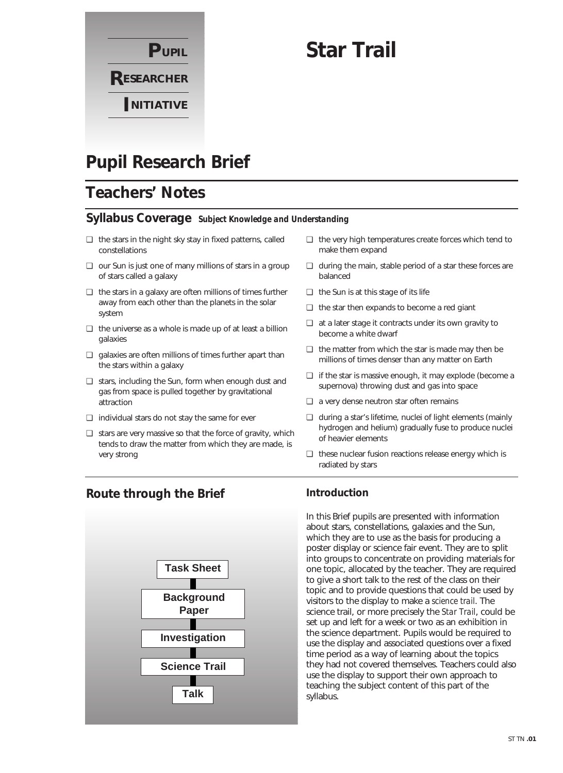

# **Star Trail**

# **Pupil Research Brief**

# **Teachers' Notes**

### **Syllabus Coverage** *Subject Knowledge and Understanding*

- ❏ the stars in the night sky stay in fixed patterns, called constellations
- ❏ our Sun is just one of many millions of stars in a group of stars called a galaxy
- ❏ the stars in a galaxy are often millions of times further away from each other than the planets in the solar system
- ❏ the universe as a whole is made up of at least a billion galaxies
- ❏ galaxies are often millions of times further apart than the stars within a galaxy
- ❏ stars, including the Sun, form when enough dust and gas from space is pulled together by gravitational attraction
- ❏ individual stars do not stay the same for ever
- ❏ stars are very massive so that the force of gravity, which tends to draw the matter from which they are made, is very strong
- ❏ the very high temperatures create forces which tend to make them expand
- ❏ during the main, stable period of a star these forces are balanced
- ❏ the Sun is at this stage of its life
- ❏ the star then expands to become a red giant
- ❏ at a later stage it contracts under its own gravity to become a white dwarf
- ❏ the matter from which the star is made may then be millions of times denser than any matter on Earth
- ❏ if the star is massive enough, it may explode (become a supernova) throwing dust and gas into space
- ❏ a very dense neutron star often remains
- ❏ during a star's lifetime, nuclei of light elements (mainly hydrogen and helium) gradually fuse to produce nuclei of heavier elements
- ❏ these nuclear fusion reactions release energy which is radiated by stars

## **Route through the Brief**



### **Introduction**

In this Brief pupils are presented with information about stars, constellations, galaxies and the Sun, which they are to use as the basis for producing a poster display or science fair event. They are to split into groups to concentrate on providing materials for one topic, allocated by the teacher. They are required to give a short talk to the rest of the class on their topic and to provide questions that could be used by visitors to the display to make a *science trail*. The science trail, or more precisely the *Star Trail*, could be set up and left for a week or two as an exhibition in the science department. Pupils would be required to use the display and associated questions over a fixed time period as a way of learning about the topics they had not covered themselves. Teachers could also use the display to support their own approach to teaching the subject content of this part of the syllabus.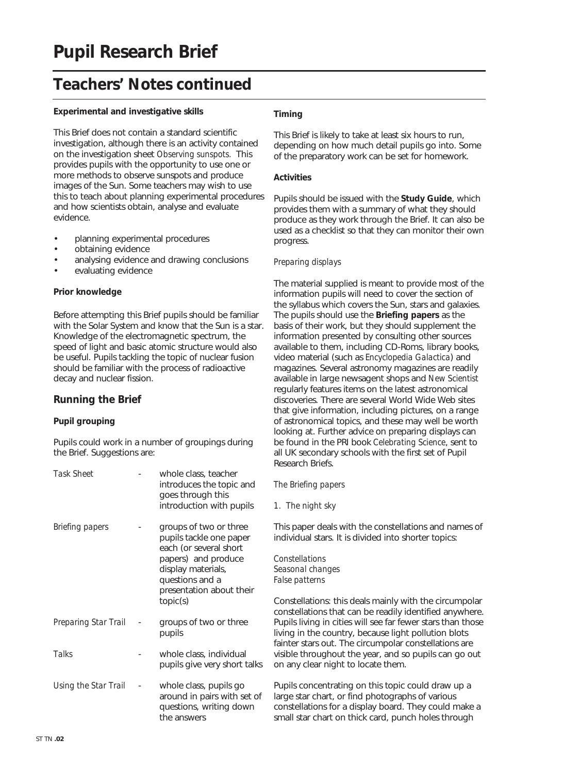# **Teachers' Notes continued**

#### **Experimental and investigative skills**

This Brief does not contain a standard scientific investigation, although there is an activity contained on the investigation sheet *Observing sunspots.* This provides pupils with the opportunity to use one or more methods to observe sunspots and produce images of the Sun. Some teachers may wish to use this to teach about planning experimental procedures and how scientists obtain, analyse and evaluate evidence.

- planning experimental procedures
- obtaining evidence
- analysing evidence and drawing conclusions
- evaluating evidence

#### **Prior knowledge**

Before attempting this Brief pupils should be familiar with the Solar System and know that the Sun is a star. Knowledge of the electromagnetic spectrum, the speed of light and basic atomic structure would also be useful. Pupils tackling the topic of nuclear fusion should be familiar with the process of radioactive decay and nuclear fission.

### **Running the Brief**

#### **Pupil grouping**

Pupils could work in a number of groupings during the Brief. Suggestions are:

| Task Sheet           | whole class, teacher<br>introduces the topic and<br>goes through this<br>introduction with pupils                                                                                   |
|----------------------|-------------------------------------------------------------------------------------------------------------------------------------------------------------------------------------|
| Briefing papers      | groups of two or three<br>pupils tackle one paper<br>each (or several short<br>papers) and produce<br>display materials,<br>questions and a<br>presentation about their<br>topic(s) |
| Preparing Star Trail | groups of two or three<br>pupils                                                                                                                                                    |
| Talks                | whole class, individual<br>pupils give very short talks                                                                                                                             |
| Using the Star Trail | whole class, pupils go<br>around in pairs with set of<br>questions, writing down<br>the answers                                                                                     |

#### **Timing**

This Brief is likely to take at least six hours to run, depending on how much detail pupils go into. Some of the preparatory work can be set for homework.

#### **Activities**

Pupils should be issued with the **Study Guide**, which provides them with a summary of what they should produce as they work through the Brief. It can also be used as a checklist so that they can monitor their own progress.

#### *Preparing displays*

The material supplied is meant to provide most of the information pupils will need to cover the section of the syllabus which covers the Sun, stars and galaxies. The pupils should use the **Briefing papers** as the basis of their work, but they should supplement the information presented by consulting other sources available to them, including CD-Roms, library books, video material (such as *Encyclopedia Galactica*) and magazines. Several astronomy magazines are readily available in large newsagent shops and *New Scientist* regularly features items on the latest astronomical discoveries. There are several World Wide Web sites that give information, including pictures, on a range of astronomical topics, and these may well be worth looking at. Further advice on preparing displays can be found in the PRI book *Celebrating Science*, sent to all UK secondary schools with the first set of Pupil Research Briefs.

#### *The Briefing papers*

*1. The night sky*

This paper deals with the constellations and names of individual stars. It is divided into shorter topics:

*Constellations Seasonal changes False patterns*

Constellations: this deals mainly with the circumpolar constellations that can be readily identified anywhere. Pupils living in cities will see far fewer stars than those living in the country, because light pollution blots fainter stars out. The circumpolar constellations are visible throughout the year, and so pupils can go out on any clear night to locate them.

Pupils concentrating on this topic could draw up a large star chart, or find photographs of various constellations for a display board. They could make a small star chart on thick card, punch holes through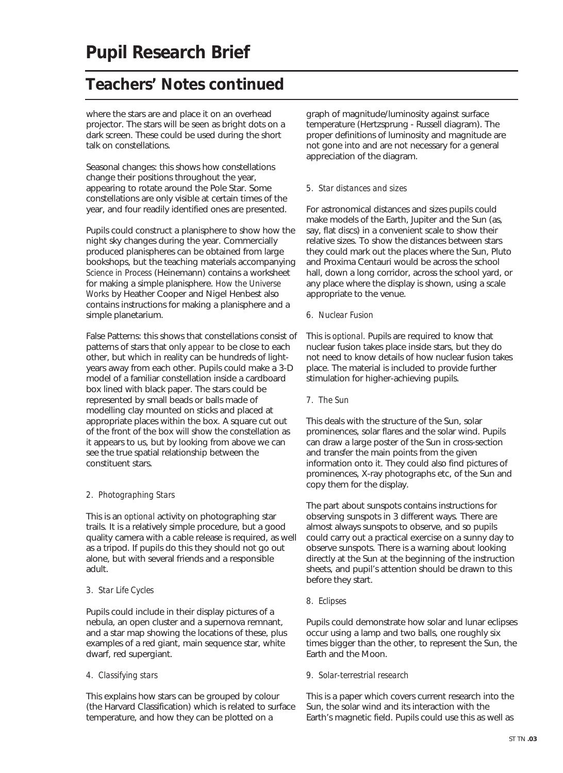# **Teachers' Notes continued**

where the stars are and place it on an overhead projector. The stars will be seen as bright dots on a dark screen. These could be used during the short talk on constellations.

Seasonal changes: this shows how constellations change their positions throughout the year, appearing to rotate around the Pole Star. Some constellations are only visible at certain times of the year, and four readily identified ones are presented.

Pupils could construct a planisphere to show how the night sky changes during the year. Commercially produced planispheres can be obtained from large bookshops, but the teaching materials accompanying *Science in Process* (Heinemann) contains a worksheet for making a simple planisphere. *How the Universe Works* by Heather Cooper and Nigel Henbest also contains instructions for making a planisphere and a simple planetarium.

False Patterns: this shows that constellations consist of patterns of stars that only *appear* to be close to each other, but which in reality can be hundreds of lightyears away from each other. Pupils could make a 3-D model of a familiar constellation inside a cardboard box lined with black paper. The stars could be represented by small beads or balls made of modelling clay mounted on sticks and placed at appropriate places within the box. A square cut out of the front of the box will show the constellation as it appears to us, but by looking from above we can see the true spatial relationship between the constituent stars.

#### *2. Photographing Stars*

This is an *optional* activity on photographing star trails. It is a relatively simple procedure, but a good quality camera with a cable release is required, as well as a tripod. If pupils do this they should not go out alone, but with several friends and a responsible adult.

#### *3. Star Life Cycles*

Pupils could include in their display pictures of a nebula, an open cluster and a supernova remnant, and a star map showing the locations of these, plus examples of a red giant, main sequence star, white dwarf, red supergiant.

#### *4. Classifying stars*

This explains how stars can be grouped by colour (the Harvard Classification) which is related to surface temperature, and how they can be plotted on a

graph of magnitude/luminosity against surface temperature (Hertzsprung - Russell diagram). The proper definitions of luminosity and magnitude are not gone into and are not necessary for a general appreciation of the diagram.

#### *5. Star distances and sizes*

For astronomical distances and sizes pupils could make models of the Earth, Jupiter and the Sun (as, say, flat discs) in a convenient scale to show their relative sizes. To show the distances between stars they could mark out the places where the Sun, Pluto and Proxima Centauri would be across the school hall, down a long corridor, across the school yard, or any place where the display is shown, using a scale appropriate to the venue.

#### *6. Nuclear Fusion*

This is *optional.* Pupils are required to know that nuclear fusion takes place inside stars, but they do not need to know details of how nuclear fusion takes place. The material is included to provide further stimulation for higher-achieving pupils.

*7. The Sun*

This deals with the structure of the Sun, solar prominences, solar flares and the solar wind. Pupils can draw a large poster of the Sun in cross-section and transfer the main points from the given information onto it. They could also find pictures of prominences, X-ray photographs etc, of the Sun and copy them for the display.

The part about sunspots contains instructions for observing sunspots in 3 different ways. There are almost always sunspots to observe, and so pupils could carry out a practical exercise on a sunny day to observe sunspots. There is a warning about looking directly at the Sun at the beginning of the instruction sheets, and pupil's attention should be drawn to this before they start.

#### *8. Eclipses*

Pupils could demonstrate how solar and lunar eclipses occur using a lamp and two balls, one roughly six times bigger than the other, to represent the Sun, the Earth and the Moon.

#### *9. Solar-terrestrial research*

This is a paper which covers current research into the Sun, the solar wind and its interaction with the Earth's magnetic field. Pupils could use this as well as